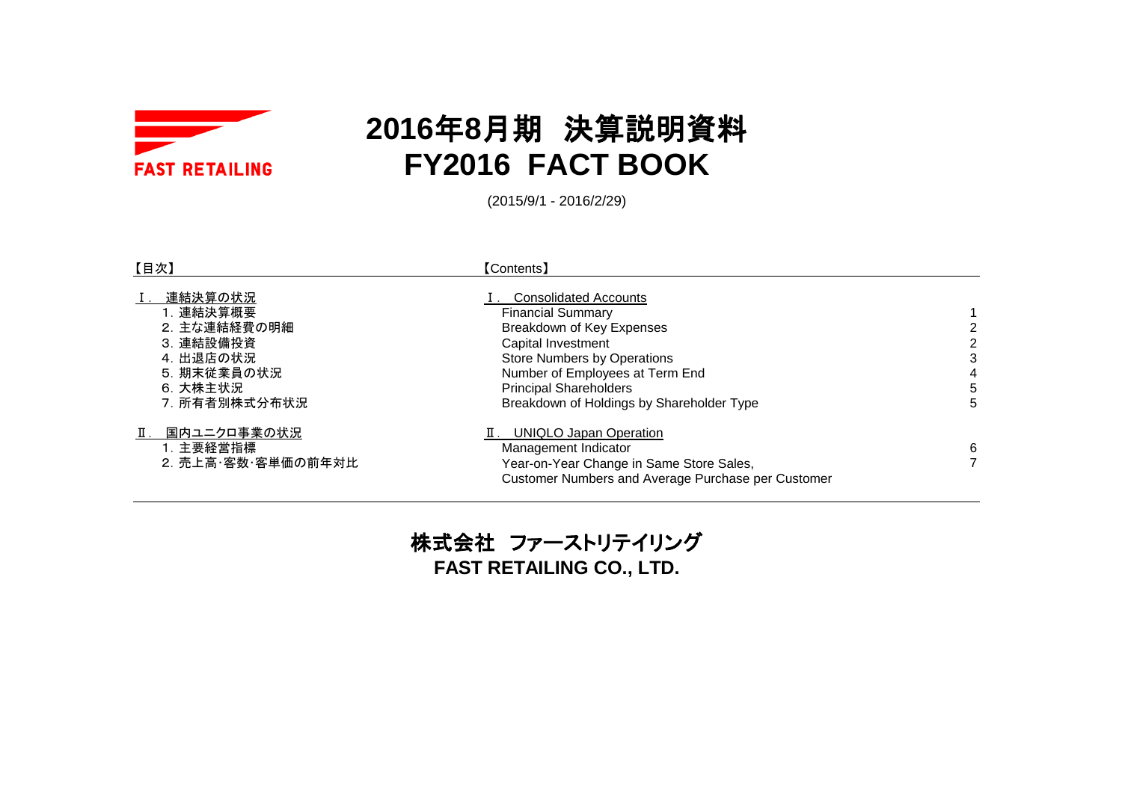

# **2016**年**8**月期 決算説明資料 **FY2016 FACT BOOK**

(2015/9/1 - 2016/2/29)

| 【目次】                                                                                                       | <b>[Contents]</b>                                                                                                                                                                                                                                                  |                             |
|------------------------------------------------------------------------------------------------------------|--------------------------------------------------------------------------------------------------------------------------------------------------------------------------------------------------------------------------------------------------------------------|-----------------------------|
| 連結決算の状況<br>Ⅰ. 連結決算概要<br>2. 主な連結経費の明細<br>3. 連結設備投資<br>4. 出退店の状況<br>5. 期末従業員の状況<br>6. 大株主状況<br>7. 所有者別株式分布状況 | <b>Consolidated Accounts</b><br><b>Financial Summary</b><br>Breakdown of Key Expenses<br>Capital Investment<br><b>Store Numbers by Operations</b><br>Number of Employees at Term End<br><b>Principal Shareholders</b><br>Breakdown of Holdings by Shareholder Type | 2<br>2<br>3<br>4<br>5<br>5. |
| 国内ユニクロ事業の状況<br>1. 主要経営指標<br>2. 売上高·客数·客単価の前年対比                                                             | <b>UNIQLO Japan Operation</b><br>Management Indicator<br>Year-on-Year Change in Same Store Sales,<br>Customer Numbers and Average Purchase per Customer                                                                                                            | 6                           |

株式会社 ファーストリテイリング **FAST RETAILING CO., LTD.**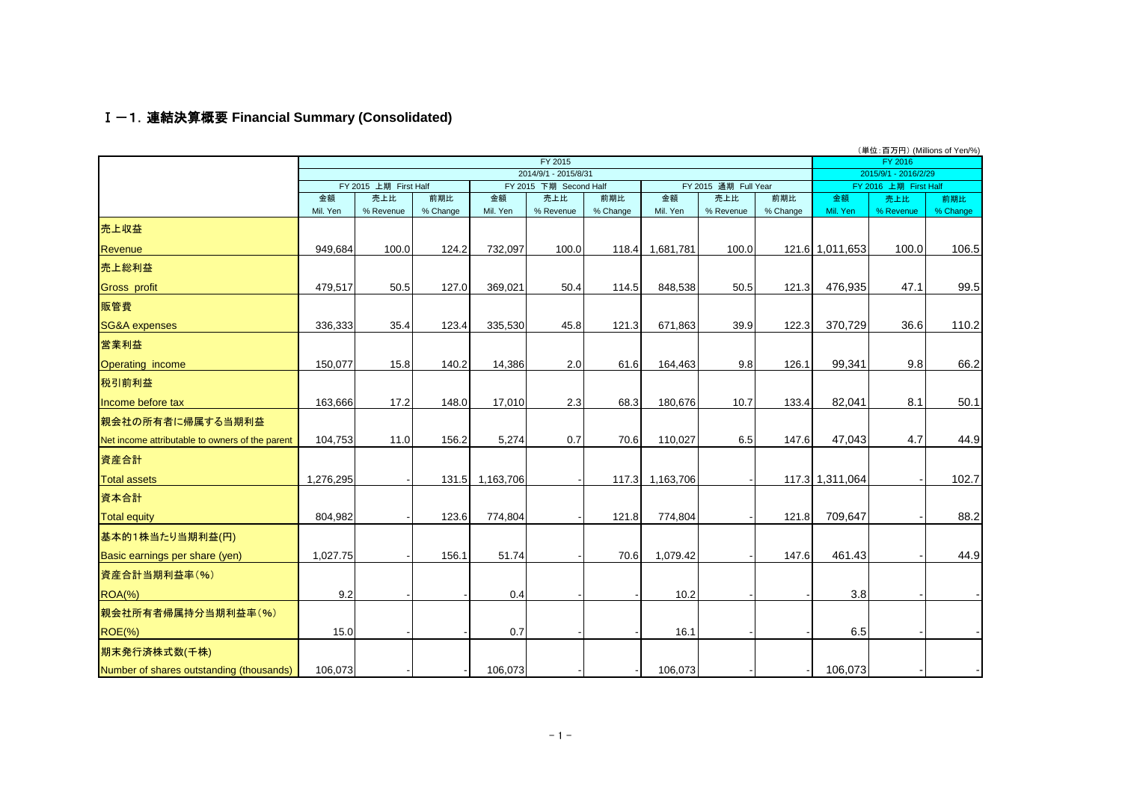### Ⅰ-1.連結決算概要 **Financial Summary (Consolidated)**

|                                                 |           |                       |          |           |                               |          |                 |                             |          |                 | (単位:百万円) (Millions of Yen/%) |          |
|-------------------------------------------------|-----------|-----------------------|----------|-----------|-------------------------------|----------|-----------------|-----------------------------|----------|-----------------|------------------------------|----------|
|                                                 |           |                       |          |           | FY 2015                       |          |                 |                             |          |                 | FY 2016                      |          |
|                                                 |           | FY 2015 上期 First Half |          |           | 2014/9/1 - 2015/8/31          |          |                 |                             |          |                 | 2015/9/1 - 2016/2/29         |          |
|                                                 | 金額        | 売上比                   | 前期比      | 金額        | FY 2015 下期 Second Half<br>売上比 | 前期比      | 金額              | FY 2015 通期 Full Year<br>売上比 | 前期比      | 金額              | FY 2016 上期 First Half<br>売上比 | 前期比      |
|                                                 | Mil. Yen  | % Revenue             | % Change | Mil. Yen  | % Revenue                     | % Change | Mil. Yen        | % Revenue                   | % Change | Mil. Yen        | % Revenue                    | % Change |
| 売上収益                                            |           |                       |          |           |                               |          |                 |                             |          |                 |                              |          |
| Revenue                                         | 949,684   | 100.0                 | 124.2    | 732,097   | 100.0                         | 118.4    | 1,681,781       | 100.0                       |          | 121.6 1,011,653 | 100.0                        | 106.5    |
| 売上総利益                                           |           |                       |          |           |                               |          |                 |                             |          |                 |                              |          |
| <b>Gross profit</b>                             | 479,517   | 50.5                  | 127.0    | 369,021   | 50.4                          | 114.5    | 848,538         | 50.5                        | 121.3    | 476,935         | 47.1                         | 99.5     |
| 販管費                                             |           |                       |          |           |                               |          |                 |                             |          |                 |                              |          |
| <b>SG&amp;A</b> expenses                        | 336,333   | 35.4                  | 123.4    | 335,530   | 45.8                          | 121.3    | 671,863         | 39.9                        | 122.3    | 370,729         | 36.6                         | 110.2    |
| 営業利益                                            |           |                       |          |           |                               |          |                 |                             |          |                 |                              |          |
| <b>Operating income</b>                         | 150,077   | 15.8                  | 140.2    | 14,386    | 2.0                           | 61.6     | 164,463         | 9.8                         | 126.1    | 99,341          | 9.8                          | 66.2     |
| 税引前利益                                           |           |                       |          |           |                               |          |                 |                             |          |                 |                              |          |
| Income before tax                               | 163,666   | 17.2                  | 148.0    | 17,010    | 2.3                           | 68.3     | 180,676         | 10.7                        | 133.4    | 82,041          | 8.1                          | 50.1     |
| 親会社の所有者に帰属する当期利益                                |           |                       |          |           |                               |          |                 |                             |          |                 |                              |          |
| Net income attributable to owners of the parent | 104,753   | 11.0                  | 156.2    | 5,274     | 0.7                           | 70.6     | 110,027         | 6.5                         | 147.6    | 47,043          | 4.7                          | 44.9     |
| 資産合計                                            |           |                       |          |           |                               |          |                 |                             |          |                 |                              |          |
| <b>Total assets</b>                             | 1,276,295 |                       | 131.5    | 1,163,706 |                               |          | 117.3 1,163,706 |                             |          | 117.3 1,311,064 |                              | 102.7    |
| 資本合計                                            |           |                       |          |           |                               |          |                 |                             |          |                 |                              |          |
| <b>Total equity</b>                             | 804,982   |                       | 123.6    | 774,804   |                               | 121.8    | 774,804         |                             | 121.8    | 709,647         |                              | 88.2     |
| 基本的1株当たり当期利益(円)                                 |           |                       |          |           |                               |          |                 |                             |          |                 |                              |          |
| Basic earnings per share (yen)                  | 1,027.75  |                       | 156.1    | 51.74     |                               | 70.6     | 1,079.42        |                             | 147.6    | 461.43          |                              | 44.9     |
| 資産合計当期利益率(%)                                    |           |                       |          |           |                               |          |                 |                             |          |                 |                              |          |
| $ROA(\%)$                                       | 9.2       |                       |          | 0.4       |                               |          | 10.2            |                             |          | 3.8             |                              |          |
| 親会社所有者帰属持分当期利益率(%)                              |           |                       |          |           |                               |          |                 |                             |          |                 |                              |          |
| <b>ROE(%)</b>                                   | 15.0      |                       |          | 0.7       |                               |          | 16.1            |                             |          | 6.5             |                              |          |
| 期末発行済株式数(千株)                                    |           |                       |          |           |                               |          |                 |                             |          |                 |                              |          |
| Number of shares outstanding (thousands)        | 106,073   |                       |          | 106,073   |                               |          | 106,073         |                             |          | 106,073         |                              |          |

 $-1 -$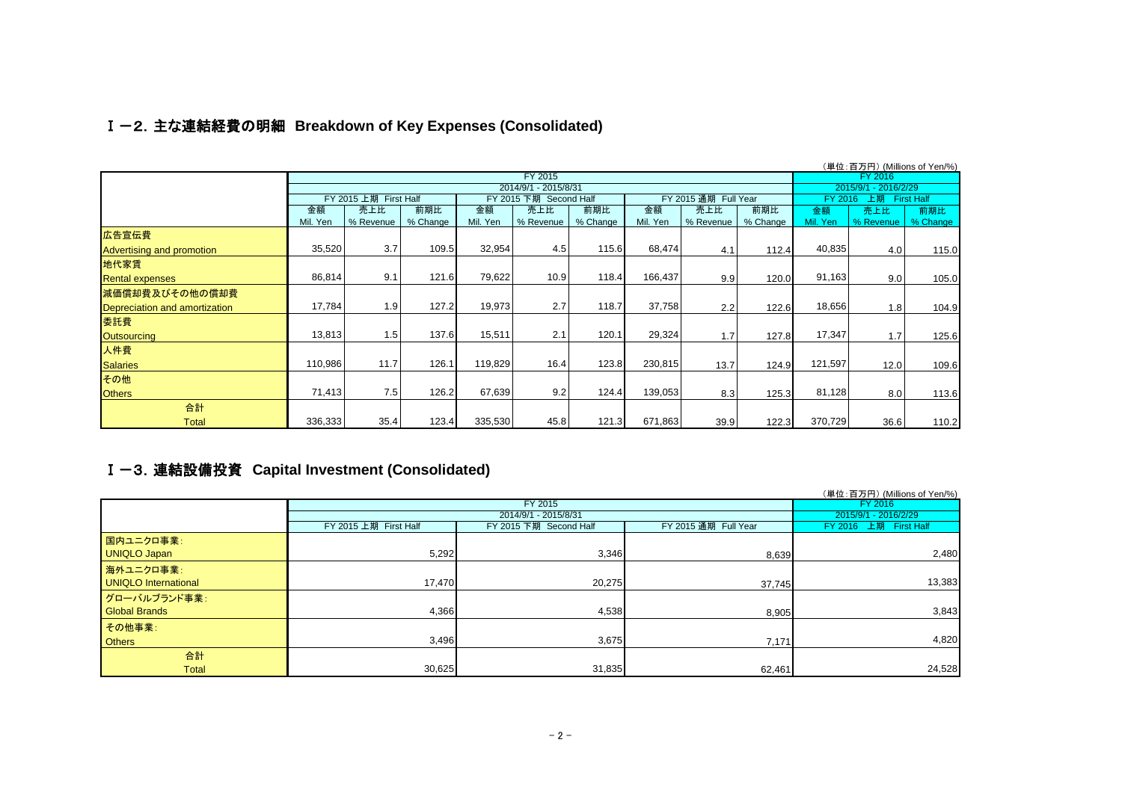## Ⅰ-2.主な連結経費の明細 **Breakdown of Key Expenses (Consolidated)**

|                               |          |                       |                       |          | (単位:百万円) (Millions of Yen/%)                   |          |          |                      |          |          |                      |          |
|-------------------------------|----------|-----------------------|-----------------------|----------|------------------------------------------------|----------|----------|----------------------|----------|----------|----------------------|----------|
|                               |          |                       |                       |          | FY 2015                                        |          |          |                      |          |          | FY 2016              |          |
|                               |          |                       |                       |          | 2014/9/1 - 2015/8/31<br>FY 2015 下期 Second Half |          |          | FY 2015 通期 Full Year |          |          | 2015/9/1 - 2016/2/29 |          |
|                               |          | FY 2015 上期 First Half | FY 2016 上期 First Half |          |                                                |          |          |                      |          |          |                      |          |
|                               | 金額       | 売上比                   | 前期比                   | 金額       | 売上比                                            | 前期比      | 金額       | 売上比                  | 前期比      | 金額       | 売上比                  | 前期比      |
|                               | Mil. Yen | % Revenue             | % Change              | Mil. Yen | % Revenue                                      | % Change | Mil. Yen | % Revenue            | % Change | Mil. Yen | % Revenue            | % Change |
| 広告宣伝費                         |          |                       |                       |          |                                                |          |          |                      |          |          |                      |          |
| Advertising and promotion     | 35,520   | 3.7                   | 109.5                 | 32,954   | 4.5                                            | 115.6    | 68,474   | 4.1                  | 112.4    | 40,835   | 4.0                  | 115.0    |
| 地代家賃                          |          |                       |                       |          |                                                |          |          |                      |          |          |                      |          |
| <b>Rental expenses</b>        | 86,814   | 9.1                   | 121.6                 | 79,622   | 10.9                                           | 118.4    | 166,437  | 9.9                  | 120.0    | 91,163   | 9.0                  | 105.0    |
| 減価償却費及びその他の償却費                |          |                       |                       |          |                                                |          |          |                      |          |          |                      |          |
| Depreciation and amortization | 17,784   | 1.9                   | 127.2                 | 19,973   | 2.7                                            | 118.7    | 37,758   | 2.2                  | 122.6    | 18,656   | 1.8                  | 104.9    |
| 委託費                           |          |                       |                       |          |                                                |          |          |                      |          |          |                      |          |
| <b>Outsourcing</b>            | 13,813   | 1.5                   | 137.6                 | 15,511   | 2.1                                            | 120.1    | 29,324   | 1.7                  | 127.8    | 17,347   | 1.7                  | 125.6    |
| 人件費                           |          |                       |                       |          |                                                |          |          |                      |          |          |                      |          |
| <b>Salaries</b>               | 110,986  | 11.7                  | 126.1                 | 119,829  | 16.4                                           | 123.8    | 230,815  | 13.7                 | 124.9    | 121,597  | 12.0                 | 109.6    |
| その他                           |          |                       |                       |          |                                                |          |          |                      |          |          |                      |          |
| <b>Others</b>                 | 71,413   | 7.5                   | 126.2                 | 67,639   | 9.2                                            | 124.4    | 139,053  | 8.3                  | 125.3    | 81,128   | 8.0                  | 113.6    |
| 合計                            |          |                       |                       |          |                                                |          |          |                      |          |          |                      |          |
| <b>Total</b>                  | 336,333  | 35.4                  | 123.4                 | 335,530  | 45.8                                           | 121.3    | 671,863  | 39.9                 | 122.3    | 370,729  | 36.6                 | 110.2    |

## Ⅰ-3.連結設備投資 **Capital Investment (Consolidated)**

|                      |                       |                        |                      | (単位: 百万円) (Millions of Yen/%) |
|----------------------|-----------------------|------------------------|----------------------|-------------------------------|
|                      |                       | FY 2015                |                      | FY 2016                       |
|                      |                       | 2014/9/1 - 2015/8/31   |                      | 2015/9/1 - 2016/2/29          |
|                      | FY 2015 上期 First Half | FY 2015 下期 Second Half | FY 2015 通期 Full Year | FY 2016 上期 First Half         |
| 国内ユニクロ事業:            |                       |                        |                      |                               |
| <b>UNIQLO Japan</b>  | 5,292                 | 3,346                  | 8,639                | 2,480                         |
| 海外ユニクロ事業:            |                       |                        |                      |                               |
| UNIQLO International | 17.470                | 20,275                 | 37,745               | 13,383                        |
| グローバルブランド事業:         |                       |                        |                      |                               |
| <b>Global Brands</b> | 4,366                 | 4,538                  | 8,905                | 3,843                         |
| その他事業:               |                       |                        |                      |                               |
| <b>Others</b>        | 3,496                 | 3,675                  | 7,171                | 4,820                         |
| 合計                   |                       |                        |                      |                               |
| <b>Total</b>         | 30,625                | 31,835                 | 62,461               | 24,528                        |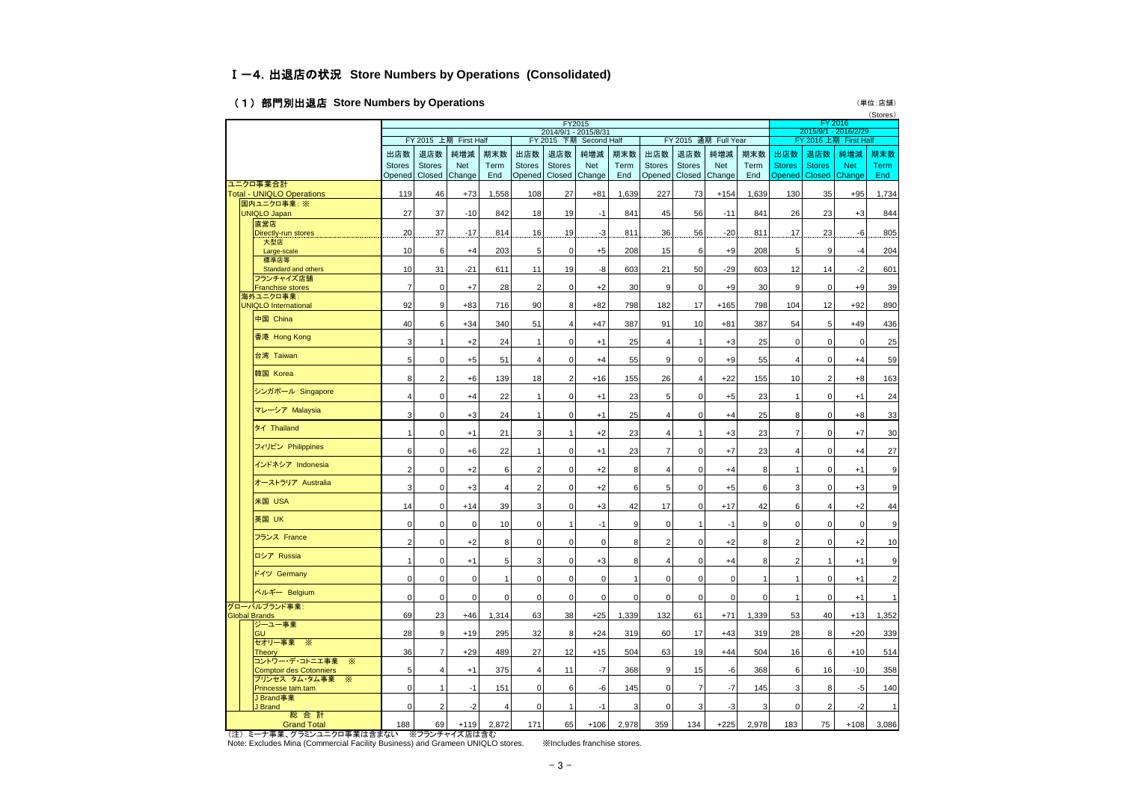### Ⅰ-4.出退店の状況 **Store Numbers by Operations (Consolidated)**

### (1)部門別出退店 **Store Numbers by Operations** (単位:店舗)

 $($  $C_{\text{tot}})$ 

|  |                                                                     | FY2015                                                                                          |                          |             |              |                |                |               |             |                |                  |               |             | (OIUIES)<br>FY 2016<br>2015/9/1 - 2016/2/29 |                |                       |             |
|--|---------------------------------------------------------------------|-------------------------------------------------------------------------------------------------|--------------------------|-------------|--------------|----------------|----------------|---------------|-------------|----------------|------------------|---------------|-------------|---------------------------------------------|----------------|-----------------------|-------------|
|  |                                                                     | 2014/9/1 - 2015/8/31<br>FY 2015 上期 First Half<br>FY 2015 下期 Second Half<br>FY 2015 通期 Full Year |                          |             |              |                |                |               |             |                |                  |               |             |                                             |                | FY 2016 上期 First Half |             |
|  |                                                                     | 出店数                                                                                             | 退店数                      | 純増減         | 期末数          | 出店数            | 退店数            | 純増減           | 期末数         | 出店数            | 退店数              | 純増減           | 期末数         | 出店数                                         | 退店数            | 純増減                   | 期末数         |
|  |                                                                     | <b>Stores</b>                                                                                   | <b>Stores</b>            | Net         | Term         | <b>Stores</b>  | <b>Stores</b>  | <b>Net</b>    | Term        | <b>Stores</b>  | <b>Stores</b>    | <b>Net</b>    | Term        | <b>Stores</b>                               | <b>Stores</b>  | <b>Net</b>            | <b>Term</b> |
|  |                                                                     |                                                                                                 | Opened   Closed   Change |             | End          | Opened         |                | Closed Change | End         | Opened         |                  | Closed Change | End         | <b>Opened</b>                               |                | Closed Change         | End         |
|  | ユニクロ事業合計<br><b>Total - UNIQLO Operations</b>                        | 119                                                                                             | 46                       | $+73$       | 1,558        | 108            | 27             | $+81$         | 1,639       | 227            | 73               | $+154$        | 1,639       | 130                                         | 35             | $+95$                 | 1,734       |
|  | 国内ユニクロ事業:※                                                          |                                                                                                 |                          |             |              |                |                |               |             |                |                  |               |             |                                             |                |                       |             |
|  | <b>UNIQLO Japan</b>                                                 | 27                                                                                              | 37                       | $-10$       | 842          | 18             | 19             | $-1$          | 841         | 45             | 56               | $-11$         | 841         | 26                                          | 23             | $+3$                  | 844         |
|  | 直営店                                                                 |                                                                                                 |                          |             |              |                |                |               |             |                |                  |               |             |                                             |                |                       |             |
|  | Directly-run stores<br>大型店                                          | 20                                                                                              | 37                       | $-17$       | 814          | 16             | 19             | $-3$          | .811        | 36             | 56               | $-20$         | 811         | 17                                          | 23             | -6                    | 805         |
|  | Large-scale                                                         | 10                                                                                              | 6                        | $+4$        | 203          | 5              | $\mathbf 0$    | $+5$          | 208         | 15             | $6 \overline{6}$ | $+9$          | 208         | 5                                           | 9              | $-4$                  | 204         |
|  | 標準店等                                                                |                                                                                                 |                          |             |              |                |                |               |             |                |                  |               |             |                                             |                |                       |             |
|  | Standard and others<br>フランチャイズ店舗                                    | 10                                                                                              | 31                       | $-21$       | 611          | 11             | 19             | $-8$          | 603         | 21             | 50               | $-29$         | 603         | 12                                          | 14             | $-2$                  | 601         |
|  | <b>Franchise stores</b>                                             | $\overline{7}$                                                                                  | $\Omega$                 | $+7$        | 28           | $\overline{2}$ | $\mathbf 0$    | $+2$          | 30          | 9              | $\Omega$         | $+9$          | 30          | 9                                           | $\mathbf 0$    | $+9$                  | 39          |
|  | 海外ユニクロ事業:                                                           |                                                                                                 |                          |             |              |                |                |               |             |                |                  |               |             |                                             |                |                       |             |
|  | <b>UNIQLO International</b>                                         | 92                                                                                              | 9                        | $+83$       | 716          | 90             | 8              | $+82$         | 798         | 182            | 17               | $+165$        | 798         | 104                                         | 12             | $+92$                 | 890         |
|  | 中国 China                                                            | 40                                                                                              | 6                        | $+34$       | 340          | 51             | $\overline{4}$ | $+47$         | 387         | 91             | 10               | $+81$         | 387         | 54                                          | 5              | $+49$                 | 436         |
|  | 香港 Hong Kong                                                        | 3                                                                                               | $\mathbf 1$              | $+2$        | 24           | $\mathbf{1}$   | $\mathbf 0$    | $+1$          | 25          | $\overline{4}$ | $\mathbf{1}$     | $+3$          | 25          | 0                                           | $\mathbf 0$    | $\mathbf 0$           | 25          |
|  | 台湾 Taiwan                                                           | 5                                                                                               | $\mathbf 0$              | $+5$        | 51           | $\overline{4}$ | $\mathbf 0$    | $+4$          | 55          | 9              | $\overline{0}$   | $+9$          | 55          | 4                                           | $\mathbf 0$    | $+4$                  | 59          |
|  | 韓国 Korea                                                            | 8                                                                                               | $\overline{2}$           | $+6$        | 139          | 18             | $\overline{2}$ | $+16$         | 155         | 26             | $\overline{4}$   | $+22$         | 155         | 10                                          | $\overline{2}$ | $+8$                  | 163         |
|  | シンガポール Singapore                                                    | $\overline{4}$                                                                                  | $\mathbf 0$              | +4          | 22           | 1              | $\mathbf 0$    | $+1$          | 23          | 5              | $\mathbf 0$      | $+5$          | 23          |                                             | $\mathbf 0$    | $+1$                  | 24          |
|  | マレーシア Malaysia                                                      | 3                                                                                               | $\Omega$                 | $+3$        | 24           | $\mathbf{1}$   | $\mathbf 0$    | $+1$          | 25          | $\overline{4}$ | $\mathbf 0$      | $+4$          | 25          | 8                                           | $\mathbf 0$    | $+8$                  | 33          |
|  | タイ Thailand                                                         | $\mathbf{1}$                                                                                    | $\mathbf 0$              | $+1$        | 21           | 3              | $\mathbf{1}$   | $+2$          | 23          | $\overline{4}$ | $\mathbf{1}$     | $+3$          | 23          | $\overline{7}$                              | $\mathbf 0$    | $+7$                  | 30          |
|  | フィリピン Philippines                                                   | 6                                                                                               | $\mathbf{O}$             | $+6$        | 22           | $\mathbf{1}$   | $\pmb{0}$      | $+1$          | 23          | $\overline{7}$ | $\mathbf 0$      | $+7$          | 23          | $\overline{4}$                              | $\mathsf 0$    | $+4$                  | 27          |
|  | インドネシア Indonesia                                                    | $\overline{2}$                                                                                  | $\mathbf{O}$             | $+2$        | 6            | $\overline{2}$ | $\mathbf 0$    | $+2$          | 8           | $\overline{4}$ | $\mathbf 0$      | $+4$          | 8           | $\overline{1}$                              | $\mathbf 0$    | $+1$                  | 9           |
|  | オーストラリア Australia                                                   | 3                                                                                               | $\mathbf 0$              | $+3$        | 4            | $\overline{2}$ | 0              | $+2$          | 6           | 5              | $\mathbf 0$      | $+5$          | 6           | 3                                           | $\mathbf 0$    | $+3$                  | 9           |
|  | 米国 USA                                                              | 14                                                                                              | $\mathbf 0$              | $+14$       | 39           | 3              | $\pmb{0}$      | $+3$          | 42          | 17             | $\pmb{0}$        | $+17$         | 42          | 6                                           | $\sqrt{4}$     | $+2$                  | 44          |
|  | 英国 UK                                                               | $\mathbf{0}$                                                                                    | $\mathbf 0$              | $\mathbf 0$ | 10           | $\mathbf 0$    | $\mathbf{1}$   | $-1$          | 9           | $\mathbf 0$    | $\mathbf{1}$     | $-1$          | 9           | $\mathbf 0$                                 | $\mathbf 0$    | $\mathbf 0$           |             |
|  | フランス France                                                         | $\overline{2}$                                                                                  | $\mathbf 0$              | $+2$        | 8            | $\mathbf 0$    | 0              | $\mathbf 0$   | 8           | $\overline{2}$ | $\mathbf 0$      | $+2$          | 8           | $\overline{2}$                              | $\mathsf 0$    | $+2$                  | 10          |
|  | ロシア Russia                                                          | $\mathbf{1}$                                                                                    | $\mathbf 0$              | $+1$        | 5            | 3              | 0              | $+3$          | 8           | $\overline{4}$ | $\mathbf 0$      | $+4$          | 8           | $\overline{2}$                              | $\mathbf{1}$   | $+1$                  | 9           |
|  | ドイツ Germany                                                         | $\mathbf{0}$                                                                                    | $\mathbf 0$              | $\mathbf 0$ | $\mathbf{1}$ | 0              | 0              | $\mathbf 0$   |             | $\mathbf 0$    | $\mathbf 0$      | $\mathbf 0$   |             | $\mathbf{1}$                                | $\mathbf 0$    | $+1$                  |             |
|  | ベルギー Belgium<br>グローバルブランド事業:                                        | $\mathbf 0$                                                                                     | $\mathsf{O}\xspace$      | $\mathbf 0$ | $\mathbf 0$  | $\pmb{0}$      | $\pmb{0}$      | $\mathbf 0$   | $\mathbf 0$ | $\mathbf 0$    | $\pmb{0}$        | $\mathbf 0$   | $\mathbf 0$ | $\overline{1}$                              | $\mathsf 0$    | $+1$                  | 1           |
|  | <b>Global Brands</b>                                                | 69                                                                                              | 23                       | $+46$       | 1,314        | 63             | 38             | $+25$         | 1,339       | 132            | 61               | $+71$         | 1,339       | 53                                          | 40             | $+13$                 | 1,352       |
|  | ジーユー事業<br>GU                                                        | 28                                                                                              | 9                        | $+19$       | 295          | 32             | 8              | $+24$         | 319         | 60             | 17               | $+43$         | 319         | 28                                          | 8              | $+20$                 | 339         |
|  | セオリー事業 ※<br>Theory                                                  | 36                                                                                              | 7                        | $+29$       | 489          | 27             | 12             | $+15$         | 504         | 63             | 19               | $+44$         | 504         | 16                                          | 6              | $+10$                 | 514         |
|  | コントワー・デ・コトニエ事業<br>⋇<br><b>Comptoir des Cotonniers</b>               | 5                                                                                               |                          | $+1$        | 375          | $\overline{4}$ | 11             | $-7$          | 368         | 9              | 15               | -6            | 368         | 6                                           | 16             | $-10$                 | 358         |
|  | プリンセス タム・タム事業<br>☀<br>Princesse tam.tam                             | $\mathbf{0}$                                                                                    | 1                        | $-1$        | 151          | $\mathbf 0$    | 6              | $-6$          | 145         | $\mathbf 0$    | $\overline{7}$   | $-7$          | 145         | 3                                           | 8              | $-5$                  | 140         |
|  | J Brand事業<br>J Brand                                                | $\mathbf{0}$                                                                                    | $\overline{2}$           | $-2$        | 4            | $\mathbf 0$    | $\mathbf{1}$   | $-1$          | 3           | $\mathbf 0$    | 3                | $-3$          | 3           | $\mathbf 0$                                 | $\overline{2}$ | $-2$                  | 1           |
|  | 総合計<br><b>Grand Total</b><br>(注) ミーナ事業、グラミンユニクロ事業は含まない ※フランチャイズ店は含む | 188                                                                                             | 69                       | $+119$      | 2,872        | 171            | 65             | $+106$        | 2.978       | 359            | 134              | $+225$        | 2.978       | 183                                         | 75             | $+108$                | 3,086       |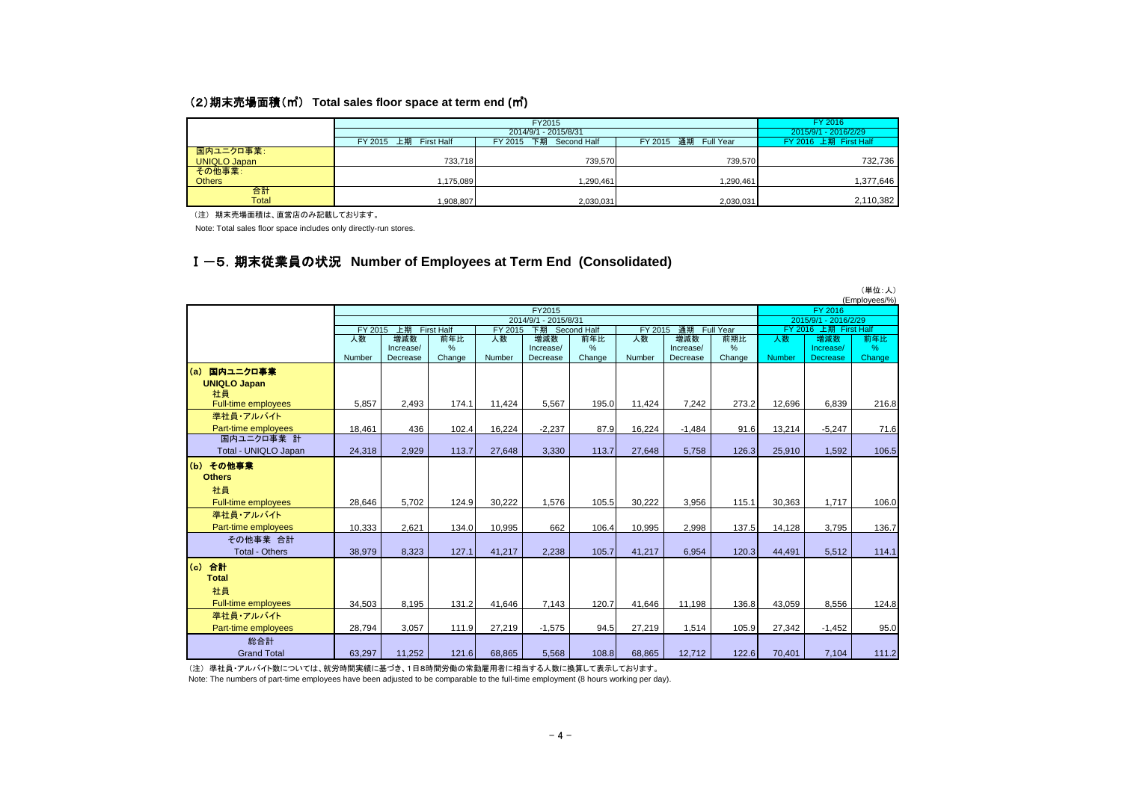#### (2)期末売場面積(㎡) **Total sales floor space at term end (**㎡**)**

|                     |                                    |                       | FY 2016   |                      |
|---------------------|------------------------------------|-----------------------|-----------|----------------------|
|                     |                                    | 2014/9/1 - 2015/8/31  |           | 2015/9/1 - 2016/2/29 |
|                     | 上期<br><b>First Half</b><br>FY 2015 | FY 2016 上期 First Half |           |                      |
| 国内ユニクロ事業:           |                                    |                       |           |                      |
| <b>UNIQLO Japan</b> | 733,718                            | 739.570               | 739.570   | 732,736              |
| その他事業:              |                                    |                       |           |                      |
| <b>Others</b>       | ,175,089                           | 1,290,461             | 1,290,461 | 1,377,646            |
| 合計                  |                                    |                       |           |                      |
| Total               | ,908,807                           | 2,030,031             | 2,030,031 | 2,110,382            |

(注) 期末売場面積は、直営店のみ記載しております。

Note: Total sales floor space includes only directly-run stores.

### Ⅰ-5.期末従業員の状況 **Number of Employees at Term End (Consolidated)**

|                            |         |                  |                   |         |                      |             |         |                  |                  |                          |                      | (単位:人)<br>(Employees/%) |
|----------------------------|---------|------------------|-------------------|---------|----------------------|-------------|---------|------------------|------------------|--------------------------|----------------------|-------------------------|
|                            |         |                  |                   |         | FY2015               |             |         |                  |                  |                          | FY 2016              |                         |
|                            |         |                  |                   |         | 2014/9/1 - 2015/8/31 |             |         |                  |                  |                          | 2015/9/1 - 2016/2/29 |                         |
|                            | FY 2015 | 上期               | <b>First Half</b> | FY 2015 | 下期                   | Second Half | FY 2015 | 通期               | <b>Full Year</b> | FY 2016<br>上期 First Half |                      |                         |
|                            | 人数      | 増減数<br>Increase/ | 前年比<br>%          | 人数      | 増減数<br>Increase/     | 前年比<br>%    | 人数      | 増減数<br>Increase/ | 前期比<br>%         | 人数                       | 増減数<br>Increase/     | 前年比<br>%                |
|                            | Number  | Decrease         | Change            | Number  | Decrease             | Change      | Number  | Decrease         | Change           | Number                   | <b>Decrease</b>      | Change                  |
| (a)<br>国内ユニクロ事業            |         |                  |                   |         |                      |             |         |                  |                  |                          |                      |                         |
| <b>UNIQLO Japan</b>        |         |                  |                   |         |                      |             |         |                  |                  |                          |                      |                         |
| 社員                         |         |                  |                   |         |                      |             |         |                  |                  |                          |                      |                         |
| <b>Full-time employees</b> | 5,857   | 2,493            | 174.1             | 11,424  | 5,567                | 195.0       | 11,424  | 7,242            | 273.2            | 12,696                   | 6,839                | 216.8                   |
| 準社員・アルバイト                  |         |                  |                   |         |                      |             |         |                  |                  |                          |                      |                         |
| Part-time employees        | 18,461  | 436              | 102.4             | 16,224  | $-2,237$             | 87.9        | 16,224  | $-1,484$         | 91.6             | 13,214                   | $-5,247$             | 71.6                    |
| 国内ユニクロ事業 計                 |         |                  |                   |         |                      |             |         |                  |                  |                          |                      |                         |
| Total - UNIQLO Japan       | 24,318  | 2,929            | 113.7             | 27,648  | 3,330                | 113.7       | 27,648  | 5,758            | 126.3            | 25,910                   | 1,592                | 106.5                   |
| (b) その他事業                  |         |                  |                   |         |                      |             |         |                  |                  |                          |                      |                         |
| <b>Others</b>              |         |                  |                   |         |                      |             |         |                  |                  |                          |                      |                         |
| 社員                         |         |                  |                   |         |                      |             |         |                  |                  |                          |                      |                         |
| <b>Full-time employees</b> | 28.646  | 5.702            | 124.9             | 30.222  | 1,576                | 105.5       | 30,222  | 3,956            | 115.1            | 30,363                   | 1,717                | 106.0                   |
| 準社員・アルバイト                  |         |                  |                   |         |                      |             |         |                  |                  |                          |                      |                         |
| Part-time employees        | 10,333  | 2,621            | 134.0             | 10.995  | 662                  | 106.4       | 10,995  | 2,998            | 137.5            | 14,128                   | 3,795                | 136.7                   |
| その他事業 合計                   |         |                  |                   |         |                      |             |         |                  |                  |                          |                      |                         |
| <b>Total - Others</b>      | 38.979  | 8.323            | 127.1             | 41.217  | 2.238                | 105.7       | 41.217  | 6,954            | 120.3            | 44.491                   | 5,512                | 114.1                   |
| $\left( 6 \right)$<br>合計   |         |                  |                   |         |                      |             |         |                  |                  |                          |                      |                         |
| <b>Total</b>               |         |                  |                   |         |                      |             |         |                  |                  |                          |                      |                         |
| 社員                         |         |                  |                   |         |                      |             |         |                  |                  |                          |                      |                         |
| <b>Full-time employees</b> | 34,503  | 8,195            | 131.2             | 41,646  | 7,143                | 120.7       | 41,646  | 11,198           | 136.8            | 43,059                   | 8,556                | 124.8                   |
| 準社員・アルバイト                  |         |                  |                   |         |                      |             |         |                  |                  |                          |                      |                         |
| Part-time employees        | 28,794  | 3,057            | 111.9             | 27,219  | $-1,575$             | 94.5        | 27,219  | 1,514            | 105.9            | 27,342                   | $-1,452$             | 95.0                    |
| 総合計                        |         |                  |                   |         |                      |             |         |                  |                  |                          |                      |                         |
| <b>Grand Total</b>         | 63.297  | 11,252           | 121.6             | 68.865  | 5,568                | 108.8       | 68.865  | 12,712           | 122.6            | 70,401                   | 7.104                | 111.2                   |

(注) 準社員・アルバイト数については、就労時間実績に基づき、1日8時間労働の常勤雇用者に相当する人数に換算して表示しております。

Note: The numbers of part-time employees have been adjusted to be comparable to the full-time employment (8 hours working per day).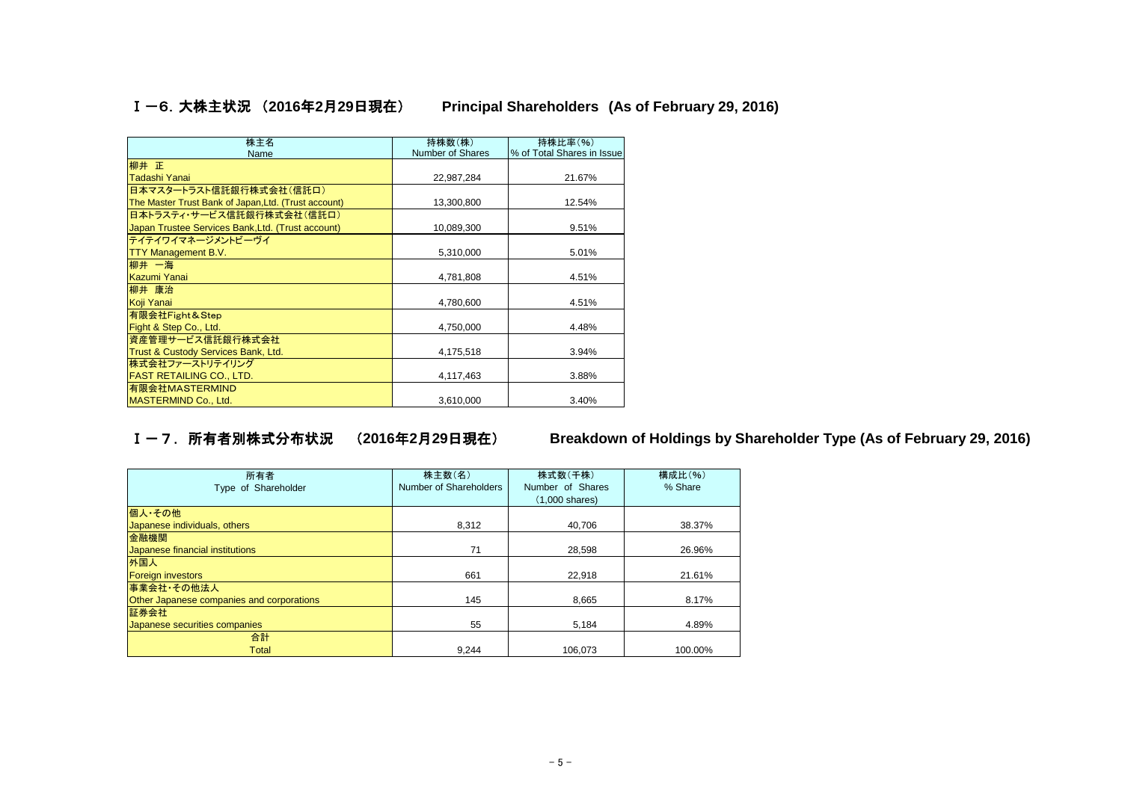Ⅰ-6.大株主状況 (**2016**年**2**月**29**日現在)  **Principal Shareholders (As of February 29, 2016)**

| 株主名                                                  | 持株数(株)                  | 持株比率(%)                    |
|------------------------------------------------------|-------------------------|----------------------------|
| Name                                                 | <b>Number of Shares</b> | % of Total Shares in Issue |
| 柳井 正                                                 |                         |                            |
| Tadashi Yanai                                        | 22,987,284              | 21.67%                     |
| 日本マスタートラスト信託銀行株式会社(信託ロ)                              |                         |                            |
| The Master Trust Bank of Japan, Ltd. (Trust account) | 13,300,800              | 12.54%                     |
| 日本トラスティ・サービス信託銀行株式会社(信託口)                            |                         |                            |
| Japan Trustee Services Bank, Ltd. (Trust account)    | 10,089,300              | 9.51%                      |
| テイテイワイマネージメントビーヴイ                                    |                         |                            |
| <b>TTY Management B.V.</b>                           | 5,310,000               | 5.01%                      |
| 柳井 一海                                                |                         |                            |
| Kazumi Yanai                                         | 4,781,808               | 4.51%                      |
| 柳井 康治                                                |                         |                            |
| Koji Yanai                                           | 4,780,600               | 4.51%                      |
| 有限会社Fight&Step                                       |                         |                            |
| Fight & Step Co., Ltd.                               | 4,750,000               | 4.48%                      |
| 資産管理サービス信託銀行株式会社                                     |                         |                            |
| Trust & Custody Services Bank, Ltd.                  | 4,175,518               | 3.94%                      |
| 株式会社ファーストリテイリング                                      |                         |                            |
| <b>FAST RETAILING CO., LTD.</b>                      | 4,117,463               | 3.88%                      |
| 有限会社MASTERMIND                                       |                         |                            |
| MASTERMIND Co., Ltd.                                 | 3,610,000               | 3.40%                      |

Ⅰ-7.所有者別株式分布状況 (**2016**年**2**月**29**日現在) **Breakdown of Holdings by Shareholder Type (As of February 29, 2016)**

| 所有者<br>Type of Shareholder                | 株主数(名)<br>Number of Shareholders | 株式数(千株)<br>Number of Shares<br>$(1,000 \text{ shares})$ | 構成比(%)<br>% Share |
|-------------------------------------------|----------------------------------|---------------------------------------------------------|-------------------|
| 個人·その他                                    |                                  |                                                         |                   |
| Japanese individuals, others              | 8,312                            | 40.706                                                  | 38.37%            |
| 金融機関                                      |                                  |                                                         |                   |
| Japanese financial institutions           | 71                               | 28,598                                                  | 26.96%            |
| 外国人                                       |                                  |                                                         |                   |
| <b>Foreign investors</b>                  | 661                              | 22.918                                                  | 21.61%            |
| 事業会社・その他法人                                |                                  |                                                         |                   |
| Other Japanese companies and corporations | 145                              | 8.665                                                   | 8.17%             |
| 証券会社                                      |                                  |                                                         |                   |
| Japanese securities companies             | 55                               | 5,184                                                   | 4.89%             |
| 合計                                        |                                  |                                                         |                   |
| <b>Total</b>                              | 9,244                            | 106.073                                                 | 100.00%           |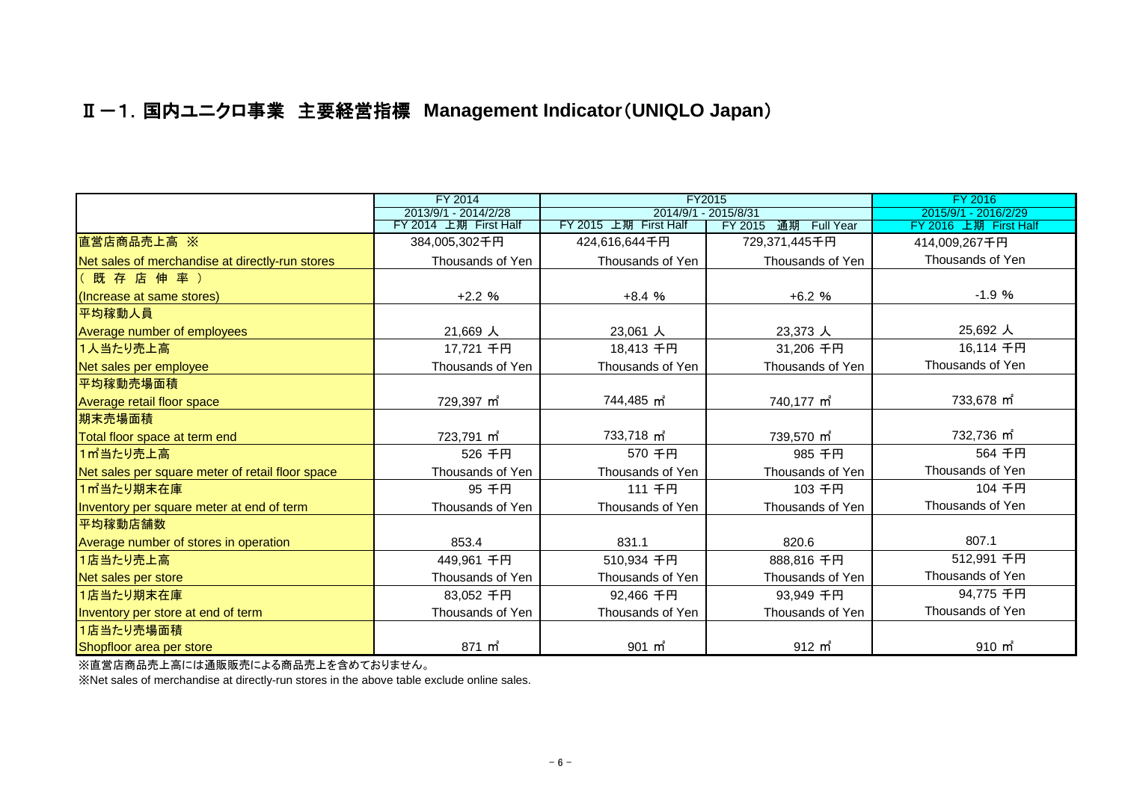## Ⅱ-1.国内ユニクロ事業 主要経営指標 **Management Indicator**(**UNIQLO Japan**)

|                                                  | FY 2014                | FY2015                 |                         | FY 2016                |
|--------------------------------------------------|------------------------|------------------------|-------------------------|------------------------|
|                                                  | 2013/9/1 - 2014/2/28   | 2014/9/1 - 2015/8/31   |                         | 2015/9/1 - 2016/2/29   |
|                                                  | FY 2014 上期 First Half  | FY 2015 上期 First Half  | 通期 Full Year<br>FY 2015 | FY 2016 上期 First Half  |
| 直営店商品売上高 ※                                       | 384,005,302千円          | 424,616,644千円          | 729,371,445千円           | 414,009,267千円          |
| Net sales of merchandise at directly-run stores  | Thousands of Yen       | Thousands of Yen       | Thousands of Yen        | Thousands of Yen       |
| (既存店伸率)                                          |                        |                        |                         |                        |
| (Increase at same stores)                        | $+2.2%$                | $+8.4%$                | $+6.2%$                 | $-1.9%$                |
| 平均稼動人員                                           |                        |                        |                         |                        |
| Average number of employees                      | 21,669 人               | 23,061 人               | 23,373 人                | 25,692 人               |
| 1人当たり売上高                                         | 17,721 千円              | 18,413 千円              | 31,206 千円               | 16,114 千円              |
| Net sales per employee                           | Thousands of Yen       | Thousands of Yen       | Thousands of Yen        | Thousands of Yen       |
| 平均稼動売場面積                                         |                        |                        |                         |                        |
| Average retail floor space                       | 729,397 m <sup>2</sup> | 744,485 m <sup>2</sup> | 740,177 m <sup>2</sup>  | 733,678 m <sup>2</sup> |
| 期末売場面積                                           |                        |                        |                         |                        |
| Total floor space at term end                    | 723,791 m <sup>2</sup> | 733,718 m <sup>2</sup> | 739,570 m <sup>2</sup>  | 732,736 m <sup>2</sup> |
| 1m当たり売上高                                         | 526 千円                 | 570 千円                 | 985 千円                  | 564 千円                 |
| Net sales per square meter of retail floor space | Thousands of Yen       | Thousands of Yen       | Thousands of Yen        | Thousands of Yen       |
| 1㎡当たり期末在庫                                        | 95 千円                  | 111 千円                 | 103 千円                  | 104 千円                 |
| Inventory per square meter at end of term        | Thousands of Yen       | Thousands of Yen       | Thousands of Yen        | Thousands of Yen       |
| 平均稼動店舗数                                          |                        |                        |                         |                        |
| Average number of stores in operation            | 853.4                  | 831.1                  | 820.6                   | 807.1                  |
| 1店当たり売上高                                         | 449,961 千円             | 510,934 千円             | 888,816 千円              | 512,991 千円             |
| Net sales per store                              | Thousands of Yen       | Thousands of Yen       | Thousands of Yen        | Thousands of Yen       |
| 1店当たり期末在庫                                        | 83.052 千円              | 92,466 千円              | 93.949 千円               | 94,775 千円              |
| Inventory per store at end of term               | Thousands of Yen       | Thousands of Yen       | Thousands of Yen        | Thousands of Yen       |
| 1店当たり売場面積                                        |                        |                        |                         |                        |
| Shopfloor area per store                         | 871 m <sup>2</sup>     | $901 \text{ m}^2$      | 912 m <sup>2</sup>      | $910 \text{ m}^2$      |

※直営店商品売上高には通販販売による商品売上を含めておりません。

※Net sales of merchandise at directly-run stores in the above table exclude online sales.